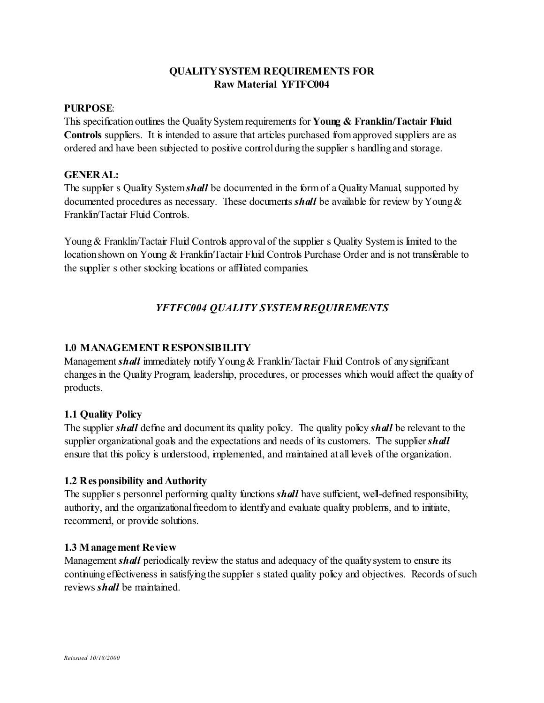## **PURPOSE**:

This specification outlines the Quality System requirements for **Young & Franklin/Tactair Fluid Controls** suppliers. It is intended to assure that articles purchased from approved suppliers are as ordered and have been subjected to positive control during the supplier s handling and storage.

#### **GENERAL:**

The supplier s Quality System*shall* be documented in the form of a Quality Manual, supported by documented procedures as necessary. These documents *shall* be available for review by Young & Franklin/Tactair Fluid Controls.

Young & Franklin/Tactair Fluid Controls approval of the supplier s Quality System is limited to the location shown on Young & Franklin/Tactair Fluid Controls Purchase Order and is not transferable to the supplier s other stocking locations or affiliated companies.

# *YFTFC004 QUALITY SYSTEM REQUIREMENTS*

# **1.0 MANAGEMENT RESPONSIBILITY**

Management *shall* immediately notify Young & Franklin/Tactair Fluid Controls of any significant changes in the Quality Program, leadership, procedures, or processes which would affect the quality of products.

# **1.1 Quality Policy**

The supplier *shall* define and document its quality policy. The quality policy *shall* be relevant to the supplier organizational goals and the expectations and needs of its customers. The supplier *shall* ensure that this policy is understood, implemented, and maintained at all levels of the organization.

## **1.2 Responsibility and Authority**

The supplier s personnel performing quality functions *shall* have sufficient, well-defined responsibility, authority, and the organizational freedom to identify and evaluate quality problems, and to initiate, recommend, or provide solutions.

## **1.3 Management Review**

Management *shall* periodically review the status and adequacy of the quality system to ensure its continuing effectiveness in satisfying the supplier s stated quality policy and objectives. Records of such reviews *shall* be maintained.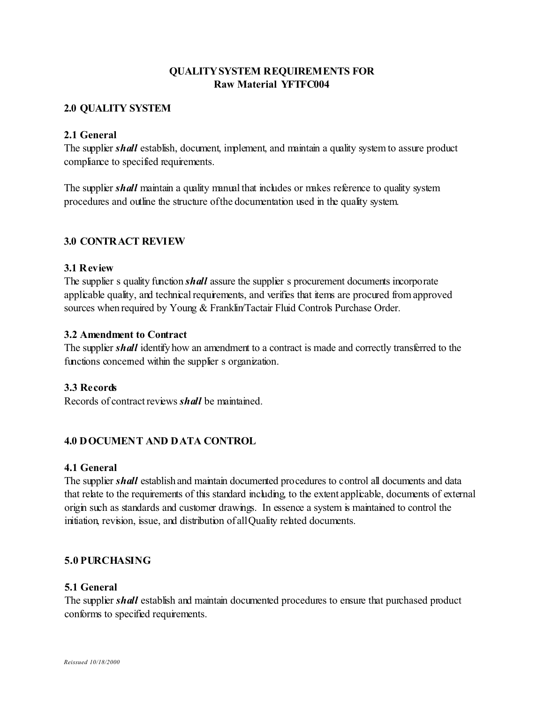## **2.0 QUALITY SYSTEM**

#### **2.1 General**

The supplier *shall* establish, document, implement, and maintain a quality system to assure product compliance to specified requirements.

The supplier *shall* maintain a quality manual that includes or makes reference to quality system procedures and outline the structure of the documentation used in the quality system.

## **3.0 CONTRACT REVIEW**

## **3.1 Review**

The supplier s quality function *shall* assure the supplier s procurement documents incorporate applicable quality, and technical requirements, and verifies that items are procured from approved sources when required by Young & Franklin/Tactair Fluid Controls Purchase Order.

## **3.2 Amendment to Contract**

The supplier *shall* identify how an amendment to a contract is made and correctly transferred to the functions concerned within the supplier s organization.

## **3.3 Records**

Records of contract reviews *shall* be maintained.

## **4.0 DOCUMENT AND DATA CONTROL**

## **4.1 General**

The supplier *shall* establish and maintain documented procedures to control all documents and data that relate to the requirements of this standard including, to the extent applicable, documents of external origin such as standards and customer drawings. In essence a system is maintained to control the initiation, revision, issue, and distribution of all Quality related documents.

## **5.0 PURCHASING**

## **5.1 General**

The supplier *shall* establish and maintain documented procedures to ensure that purchased product conforms to specified requirements.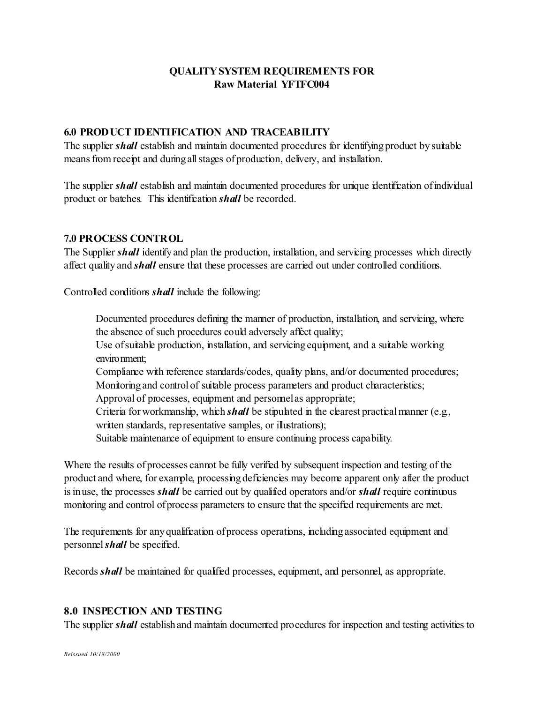## **6.0 PRODUCT IDENTIFICATION AND TRACEABILITY**

The supplier *shall* establish and maintain documented procedures for identifying product by suitable means from receipt and during all stages of production, delivery, and installation.

The supplier *shall* establish and maintain documented procedures for unique identification of individual product or batches. This identification *shall* be recorded.

## **7.0 PROCESS CONTROL**

The Supplier *shall* identify and plan the production, installation, and servicing processes which directly affect quality and *shall* ensure that these processes are carried out under controlled conditions.

Controlled conditions *shall* include the following:

Documented procedures defining the manner of production, installation, and servicing, where the absence of such procedures could adversely affect quality; Use of suitable production, installation, and servicing equipment, and a suitable working environment; Compliance with reference standards/codes, quality plans, and/or documented procedures; Monitoring and control of suitable process parameters and product characteristics; Approval of processes, equipment and persomel as appropriate; Criteria for workmanship, which *shall* be stipulated in the clearest practical manner (e.g., written standards, representative samples, or illustrations); Suitable maintenance of equipment to ensure continuing process capability.

Where the results of processes cannot be fully verified by subsequent inspection and testing of the product and where, for example, processing deficiencies may become apparent only after the product is in use, the processes *shall* be carried out by qualified operators and/or *shall* require continuous monitoring and control of process parameters to ensure that the specified requirements are met.

The requirements for any qualification of process operations, including associated equipment and personnel*shall* be specified.

Records *shall* be maintained for qualified processes, equipment, and personnel, as appropriate.

# **8.0 INSPECTION AND TESTING**

The supplier *shall* establish and maintain documented procedures for inspection and testing activities to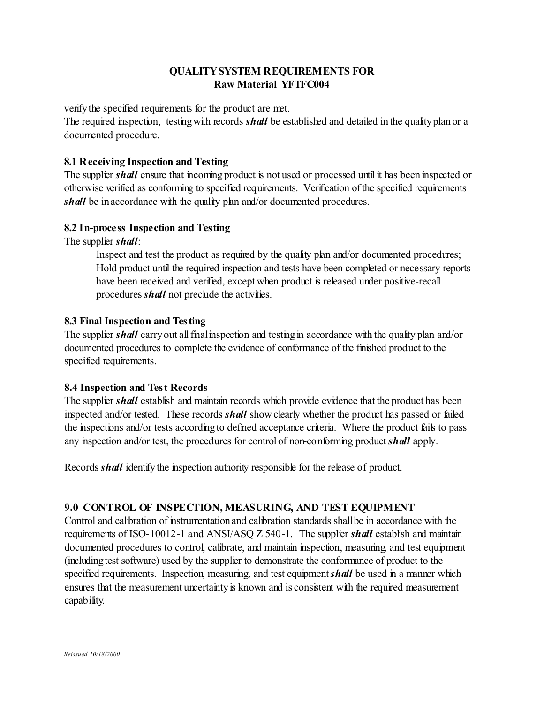verify the specified requirements for the product are met.

The required inspection, testing with records *shall* be established and detailed in the quality plan or a documented procedure.

## **8.1 Receiving Inspection and Testing**

The supplier *shall* ensure that incoming product is not used or processed until it has been inspected or otherwise verified as conforming to specified requirements. Verification of the specified requirements *shall* be in accordance with the quality plan and/or documented procedures.

## **8.2 In-process Inspection and Testing**

The supplier *shall*:

Inspect and test the product as required by the quality plan and/or documented procedures; " Hold product until the required inspection and tests have been completed or necessary reports have been received and verified, except when product is released under positive-recall procedures *shall* not preclude the activities.

## **8.3 Final Inspection and Testing**

The supplier *shall* carry out all final inspection and testing in accordance with the quality plan and/or documented procedures to complete the evidence of conformance of the finished product to the specified requirements.

# **8.4 Inspection and Test Records**

The supplier *shall* establish and maintain records which provide evidence that the product has been inspected and/or tested. These records *shall* show clearly whether the product has passed or failed the inspections and/or tests according to defined acceptance criteria. Where the product fails to pass any inspection and/or test, the procedures for control of non-conforming product *shall* apply.

Records *shall* identify the inspection authority responsible for the release of product.

# **9.0 CONTROL OF INSPECTION, MEASURING, AND TEST EQUIPMENT**

Control and calibration of instrumentation and calibration standards shall be in accordance with the requirements of ISO-10012-1 and ANSI/ASQ Z 540-1. The supplier *shall* establish and maintain documented procedures to control, calibrate, and maintain inspection, measuring, and test equipment (including test software) used by the supplier to demonstrate the conformance of product to the specified requirements. Inspection, measuring, and test equipment *shall* be used in a manner which ensures that the measurement uncertainty is known and is consistent with the required measurement capability.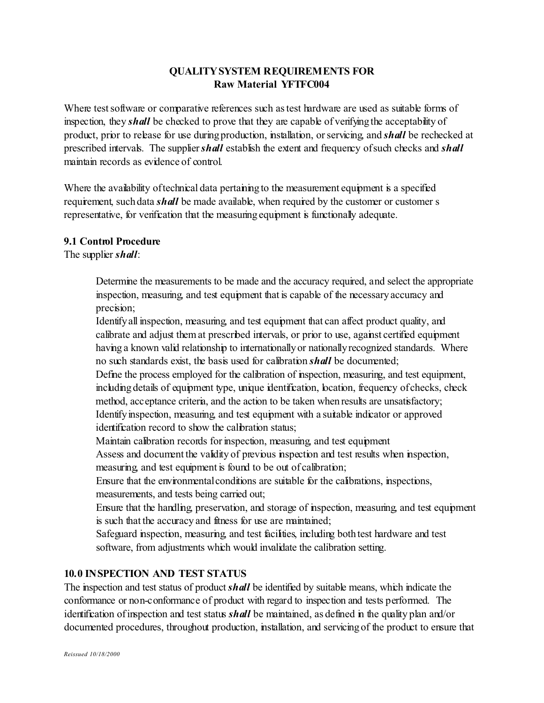Where test software or comparative references such as test hardware are used as suitable forms of inspection, they *shall* be checked to prove that they are capable of verifying the acceptability of product, prior to release for use during production, installation, or servicing, and *shall* be rechecked at prescribed intervals. The supplier *shall* establish the extent and frequency of such checks and *shall* maintain records as evidence of control.

Where the availability of technical data pertaining to the measurement equipment is a specified requirement, such data *shall* be made available, when required by the customer or customer s representative, for verification that the measuring equipment is functionally adequate.

## **9.1 Control Procedure**

The supplier *shall*:

Determine the measurements to be made and the accuracy required, and select the appropriate inspection, measuring, and test equipment that is capable of the necessary accuracy and precision;

Identify all inspection, measuring, and test equipment that can affect product quality, and calibrate and adjust them at prescribed intervals, or prior to use, against certified equipment having a known valid relationship to internationally or nationally recognized standards. Where no such standards exist, the basis used for calibration *shall* be documented;

Define the process employed for the calibration of inspection, measuring, and test equipment, including details of equipment type, unique identification, location, frequency of checks, check method, acceptance criteria, and the action to be taken when results are unsatisfactory; Identify inspection, measuring, and test equipment with a suitable indicator or approved identification record to show the calibration status;

Maintain calibration records for inspection, measuring, and test equipment

Assess and document the validity of previous inspection and test results when inspection, measuring, and test equipment is found to be out of calibration;

Ensure that the environmental conditions are suitable for the calibrations, inspections, measurements, and tests being carried out;

Ensure that the handling, preservation, and storage of inspection, measuring, and test equipment is such that the accuracy and fitness for use are maintained;

Safeguard inspection, measuring, and test facilities, including both test hardware and test software, from adjustments which would invalidate the calibration setting.

# **10.0 INSPECTION AND TEST STATUS**

The inspection and test status of product *shall* be identified by suitable means, which indicate the conformance or non-conformance of product with regard to inspection and tests performed. The identification of inspection and test status *shall* be maintained, as defined in the quality plan and/or documented procedures, throughout production, installation, and servicing of the product to ensure that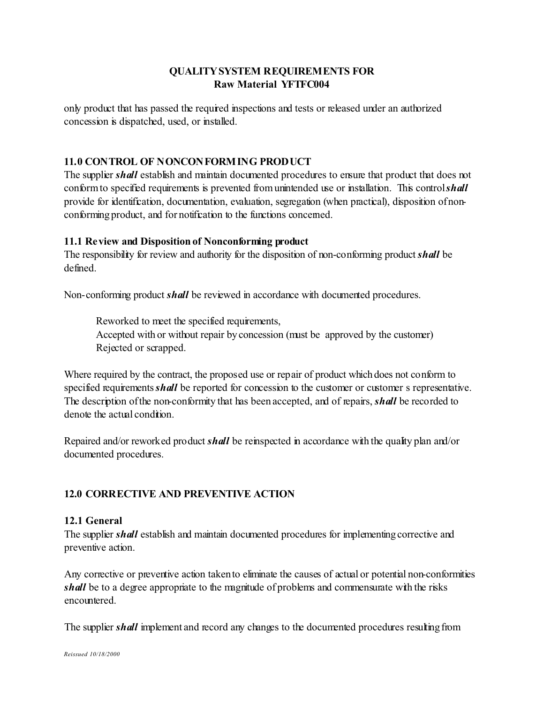only product that has passed the required inspections and tests or released under an authorized concession is dispatched, used, or installed.

# **11.0 CONTROL OF NONCONFORMING PRODUCT**

The supplier *shall* establish and maintain documented procedures to ensure that product that does not conform to specified requirements is prevented from unintended use or installation. This control*shall* provide for identification, documentation, evaluation, segregation (when practical), disposition of nonconforming product, and for notification to the functions concerned.

# **11.1 Review and Disposition of Nonconforming product**

The responsibility for review and authority for the disposition of non-conforming product *shall* be defined.

Non-conforming product *shall* be reviewed in accordance with documented procedures.

Reworked to meet the specified requirements, Accepted with or without repair by concession (must be approved by the customer) Rejected or scrapped.

Where required by the contract, the proposed use or repair of product which does not conform to specified requirements *shall* be reported for concession to the customer or customer s representative. The description of the non-conformity that has been accepted, and of repairs, *shall* be recorded to denote the actual condition.

Repaired and/or reworked product *shall* be reinspected in accordance with the quality plan and/or documented procedures.

# **12.0 CORRECTIVE AND PREVENTIVE ACTION**

# **12.1 General**

The supplier *shall* establish and maintain documented procedures for implementing corrective and preventive action.

Any corrective or preventive action taken to eliminate the causes of actual or potential non-conformities *shall* be to a degree appropriate to the magnitude of problems and commensurate with the risks encountered.

The supplier *shall* implement and record any changes to the documented procedures resulting from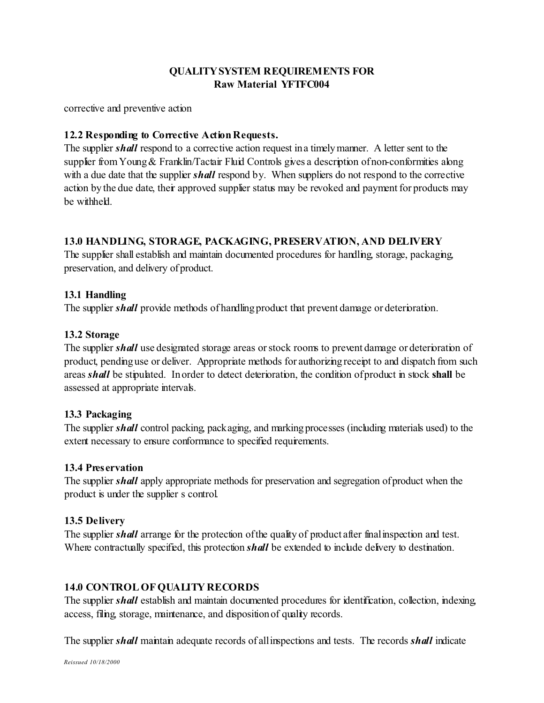corrective and preventive action

## **12.2 Responding to Corrective Action Requests.**

The supplier *shall* respond to a corrective action request in a timely manner. A letter sent to the supplier from Young & Franklin/Tactair Fluid Controls gives a description of non-conformities along with a due date that the supplier *shall* respond by. When suppliers do not respond to the corrective action by the due date, their approved supplier status may be revoked and payment for products may be withheld.

## **13.0 HANDLING, STORAGE, PACKAGING, PRESERVATION, AND DELIVERY**

The supplier shall establish and maintain documented procedures for handling, storage, packaging, preservation, and delivery of product.

## **13.1 Handling**

The supplier *shall* provide methods of handling product that prevent damage or deterioration.

## **13.2 Storage**

The supplier *shall* use designated storage areas or stock rooms to prevent damage or deterioration of product, pending use or deliver. Appropriate methods for authorizing receipt to and dispatch from such areas *shall* be stipulated. In order to detect deterioration, the condition of product in stock **shall** be assessed at appropriate intervals.

## **13.3 Packaging**

The supplier *shall* control packing, packaging, and marking processes (including materials used) to the extent necessary to ensure conformance to specified requirements.

## **13.4 Preservation**

The supplier *shall* apply appropriate methods for preservation and segregation of product when the product is under the supplier s control.

## **13.5 Delivery**

The supplier *shall* arrange for the protection of the quality of product after final inspection and test. Where contractually specified, this protection *shall* be extended to include delivery to destination.

# **14.0 CONTROL OF QUALITY RECORDS**

The supplier *shall* establish and maintain documented procedures for identification, collection, indexing, access, filing, storage, maintenance, and disposition of quality records.

The supplier *shall* maintain adequate records of all inspections and tests. The records *shall* indicate